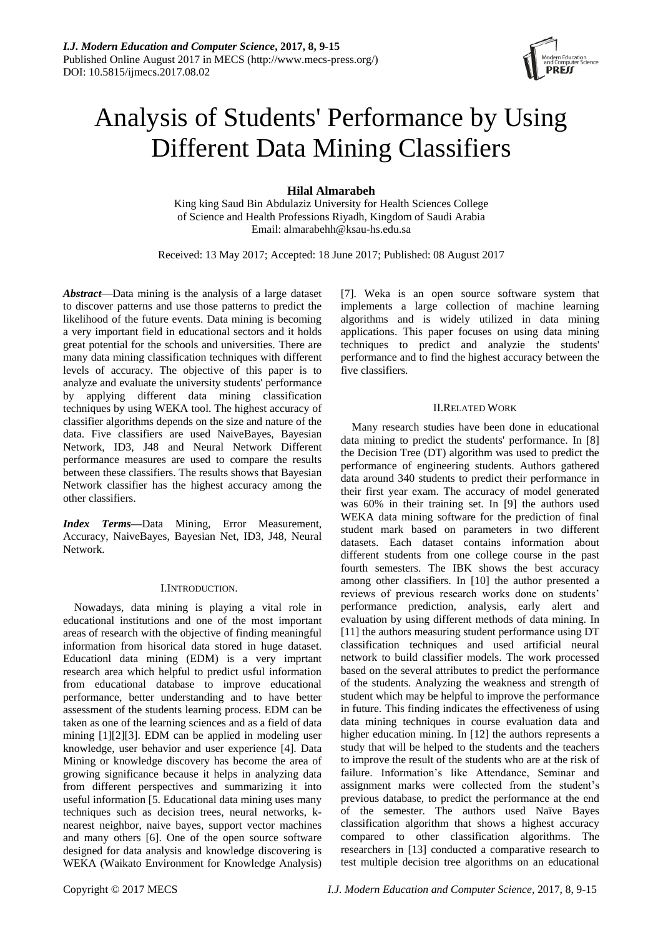

# Analysis of Students' Performance by Using Different Data Mining Classifiers

**Hilal Almarabeh**

King king Saud Bin Abdulaziz University for Health Sciences College of Science and Health Professions Riyadh, Kingdom of Saudi Arabia Email: almarabehh@ksau-hs.edu.sa

Received: 13 May 2017; Accepted: 18 June 2017; Published: 08 August 2017

*Abstract*—Data mining is the analysis of a large dataset to discover patterns and use those patterns to predict the likelihood of the future events. Data mining is becoming a very important field in educational sectors and it holds great potential for the schools and universities. There are many data mining classification techniques with different levels of accuracy. The objective of this paper is to analyze and evaluate the university students' performance by applying different data mining classification techniques by using WEKA tool. The highest accuracy of classifier algorithms depends on the size and nature of the data. Five classifiers are used NaiveBayes, Bayesian Network, ID3, J48 and Neural Network Different performance measures are used to compare the results between these classifiers. The results shows that Bayesian Network classifier has the highest accuracy among the other classifiers.

*Index Terms***—**Data Mining, Error Measurement, Accuracy, NaiveBayes, Bayesian Net, ID3, J48, Neural Network.

## I.INTRODUCTION.

Nowadays, data mining is playing a vital role in educational institutions and one of the most important areas of research with the objective of finding meaningful information from hisorical data stored in huge dataset. Educationl data mining (EDM) is a very imprtant research area which helpful to predict usful information from educational database to improve educational performance, better understanding and to have better assessment of the students learning process. EDM can be taken as one of the learning sciences and as a field of data mining [1][2][3]. EDM can be applied in modeling user knowledge, user behavior and user experience [4]. Data Mining or knowledge discovery has become the area of growing significance because it helps in analyzing data from different perspectives and summarizing it into useful information [5. Educational data mining uses many techniques such as decision trees, neural networks, knearest neighbor, naive bayes, support vector machines and many others [6]. One of the open source software designed for data analysis and knowledge discovering is WEKA (Waikato Environment for Knowledge Analysis) [7]. Weka is an open source software system that implements a large collection of machine learning algorithms and is widely utilized in data mining applications. This paper focuses on using data mining techniques to predict and analyzie the students' performance and to find the highest accuracy between the five classifiers.

## II.RELATED WORK

Many research studies have been done in educational data mining to predict the students' performance. In [8] the Decision Tree (DT) algorithm was used to predict the performance of engineering students. Authors gathered data around 340 students to predict their performance in their first year exam. The accuracy of model generated was 60% in their training set. In [9] the authors used WEKA data mining software for the prediction of final student mark based on parameters in two different datasets. Each dataset contains information about different students from one college course in the past fourth semesters. The IBK shows the best accuracy among other classifiers. In [10] the author presented a reviews of previous research works done on students' performance prediction, analysis, early alert and evaluation by using different methods of data mining. In [11] the authors measuring student performance using DT classification techniques and used artificial neural network to build classifier models. The work processed based on the several attributes to predict the performance of the students. Analyzing the weakness and strength of student which may be helpful to improve the performance in future. This finding indicates the effectiveness of using data mining techniques in course evaluation data and higher education mining. In [12] the authors represents a study that will be helped to the students and the teachers to improve the result of the students who are at the risk of failure. Information's like Attendance, Seminar and assignment marks were collected from the student's previous database, to predict the performance at the end of the semester. The authors used Naïve Bayes classification algorithm that shows a highest accuracy compared to other classification algorithms. The researchers in [13] conducted a comparative research to test multiple decision tree algorithms on an educational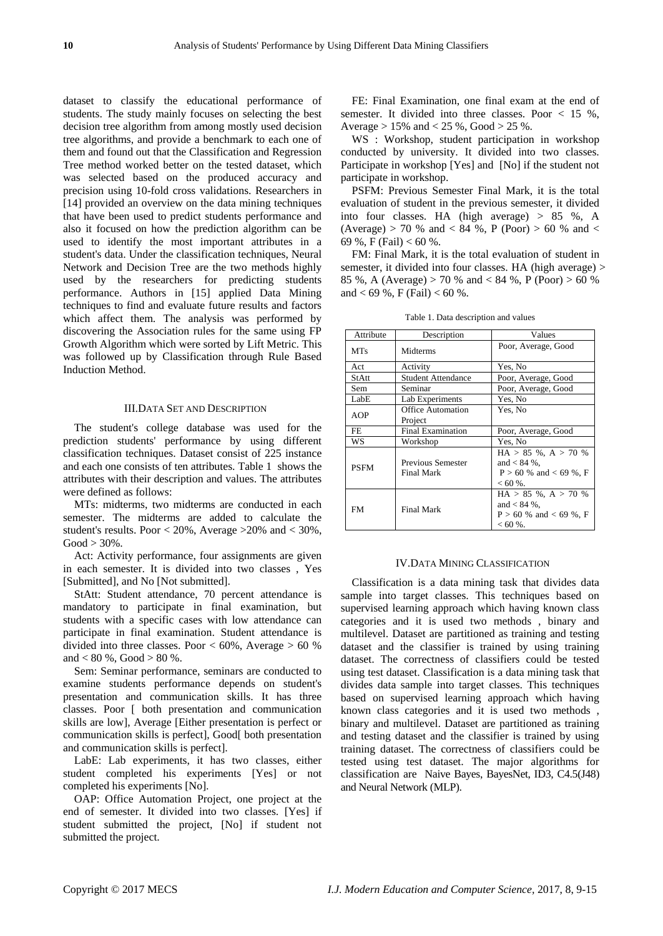dataset to classify the educational performance of students. The study mainly focuses on selecting the best decision tree algorithm from among mostly used decision tree algorithms, and provide a benchmark to each one of them and found out that the Classification and Regression Tree method worked better on the tested dataset, which was selected based on the produced accuracy and precision using 10-fold cross validations. Researchers in [14] provided an overview on the data mining techniques that have been used to predict students performance and also it focused on how the prediction algorithm can be used to identify the most important attributes in a student's data. Under the classification techniques, Neural Network and Decision Tree are the two methods highly used by the researchers for predicting students performance. Authors in [15] applied Data Mining techniques to find and evaluate future results and factors which affect them. The analysis was performed by discovering the Association rules for the same using FP Growth Algorithm which were sorted by Lift Metric. This was followed up by Classification through Rule Based Induction Method.

## III.DATA SET AND DESCRIPTION

The student's college database was used for the prediction students' performance by using different classification techniques. Dataset consist of 225 instance and each one consists of ten attributes. Table 1 shows the attributes with their description and values. The attributes were defined as follows:

MTs: midterms, two midterms are conducted in each semester. The midterms are added to calculate the student's results. Poor  $< 20\%$ , Average  $>20\%$  and  $< 30\%$ ,  $Good > 30\%$ .

Act: Activity performance, four assignments are given in each semester. It is divided into two classes , Yes [Submitted], and No [Not submitted].

StAtt: Student attendance, 70 percent attendance is mandatory to participate in final examination, but students with a specific cases with low attendance can participate in final examination. Student attendance is divided into three classes. Poor  $< 60\%$ , Average  $> 60\%$ and  $< 80 %$ , Good  $> 80 %$ .

Sem: Seminar performance, seminars are conducted to examine students performance depends on student's presentation and communication skills. It has three classes. Poor [ both presentation and communication skills are low], Average [Either presentation is perfect or communication skills is perfect], Good[ both presentation and communication skills is perfect].

LabE: Lab experiments, it has two classes, either student completed his experiments [Yes] or not completed his experiments [No].

OAP: Office Automation Project, one project at the end of semester. It divided into two classes. [Yes] if student submitted the project, [No] if student not submitted the project.

FE: Final Examination, one final exam at the end of semester. It divided into three classes. Poor < 15 %, Average  $> 15\%$  and  $< 25\%$ , Good  $> 25\%$ .

WS : Workshop, student participation in workshop conducted by university. It divided into two classes. Participate in workshop [Yes] and [No] if the student not participate in workshop.

PSFM: Previous Semester Final Mark, it is the total evaluation of student in the previous semester, it divided into four classes. HA (high average) > 85 %, A (Average) > 70 % and < 84 %, P (Poor) > 60 % and < 69 %, F (Fail) < 60 %.

FM: Final Mark, it is the total evaluation of student in semester, it divided into four classes. HA (high average) > 85 %, A (Average) > 70 % and < 84 %, P (Poor) > 60 % and  $<$  69 %, F (Fail)  $<$  60 %.

| Attribute   | Description                            | Values                                                                               |  |  |
|-------------|----------------------------------------|--------------------------------------------------------------------------------------|--|--|
| <b>MTs</b>  | Midterms                               | Poor, Average, Good                                                                  |  |  |
| Act         | Activity                               | Yes, No                                                                              |  |  |
| StAtt       | <b>Student Attendance</b>              | Poor, Average, Good                                                                  |  |  |
| Sem         | Seminar                                | Poor, Average, Good                                                                  |  |  |
| LabE        | Lab Experiments                        | Yes, No                                                                              |  |  |
| AOP         | <b>Office Automation</b>               | Yes, No                                                                              |  |  |
|             | Project                                |                                                                                      |  |  |
| FE.         | <b>Final Examination</b>               | Poor, Average, Good                                                                  |  |  |
| WS          | Workshop                               | Yes, No                                                                              |  |  |
| <b>PSFM</b> | Previous Semester<br><b>Final Mark</b> | $HA > 85$ %, $A > 70$ %<br>and $< 84 \%$ ,<br>$P > 60$ % and < 69 %, F<br>$< 60 %$ . |  |  |
| <b>FM</b>   | <b>Final Mark</b>                      | $HA > 85$ %, $A > 70$ %<br>and $< 84 \%$ ,<br>$P > 60$ % and < 69 %, F<br>$< 60 %$ . |  |  |

#### IV.DATA MINING CLASSIFICATION

Classification is a data mining task that divides data sample into target classes. This techniques based on supervised learning approach which having known class categories and it is used two methods , binary and multilevel. Dataset are partitioned as training and testing dataset and the classifier is trained by using training dataset. The correctness of classifiers could be tested using test dataset. Classification is a data mining task that divides data sample into target classes. This techniques based on supervised learning approach which having known class categories and it is used two methods , binary and multilevel. Dataset are partitioned as training and testing dataset and the classifier is trained by using training dataset. The correctness of classifiers could be tested using test dataset. The major algorithms for classification are Naive Bayes, BayesNet, ID3, C4.5(J48) and Neural Network (MLP).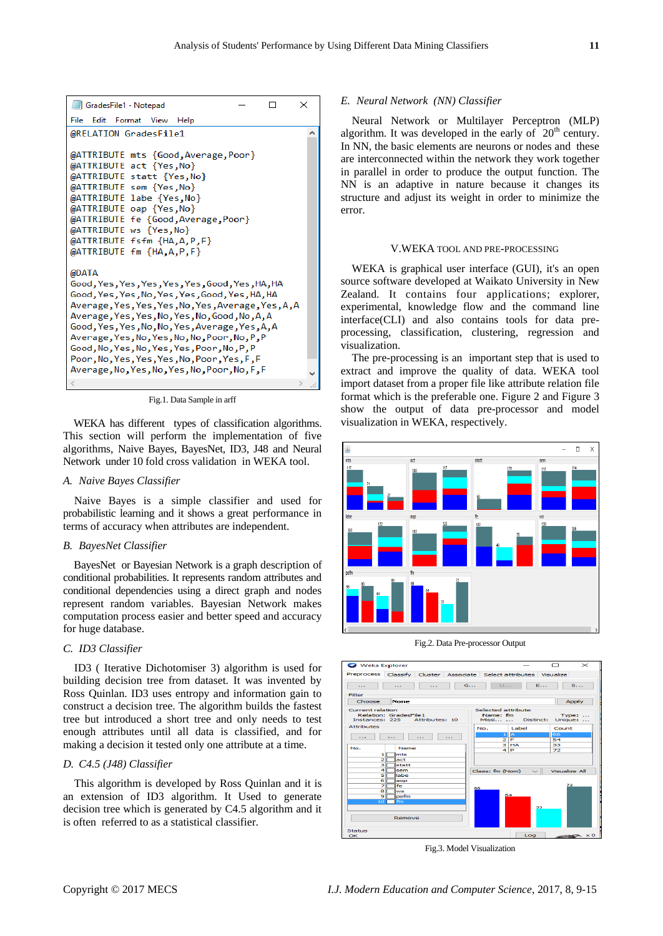

Fig.1. Data Sample in arff

WEKA has different types of classification algorithms. This section will perform the implementation of five algorithms, Naive Bayes, BayesNet, ID3, J48 and Neural Network under 10 fold cross validation in WEKA tool.

#### *A. Naive Bayes Classifier*

Naive Bayes is a simple classifier and used for probabilistic learning and it shows a great performance in terms of accuracy when attributes are independent.

## *B. BayesNet Classifier*

BayesNet or Bayesian Network is a graph description of conditional probabilities. It represents random attributes and conditional dependencies using a direct graph and nodes represent random variables. Bayesian Network makes computation process easier and better speed and accuracy for huge database.

## *C. ID3 Classifier*

ID3 ( Iterative Dichotomiser 3) algorithm is used for building decision tree from dataset. It was invented by Ross Quinlan. ID3 uses entropy and information gain to construct a decision tree. The algorithm builds the fastest tree but introduced a short tree and only needs to test enough attributes until all data is classified, and for making a decision it tested only one attribute at a time.

## *D. C4.5 (J48) Classifier*

This algorithm is developed by Ross Quinlan and it is an extension of ID3 algorithm. It Used to generate decision tree which is generated by C4.5 algorithm and it is often referred to as a statistical classifier.

## *E. Neural Network (NN) Classifier*

Neural Network or Multilayer Perceptron (MLP) algorithm. It was developed in the early of  $20<sup>th</sup>$  century. In NN, the basic elements are neurons or nodes and these are interconnected within the network they work together in parallel in order to produce the output function. The NN is an adaptive in nature because it changes its structure and adjust its weight in order to minimize the error.

#### V.WEKA TOOL AND PRE-PROCESSING

WEKA is graphical user interface (GUI), it's an open source software developed at Waikato University in New Zealand. It contains four applications; explorer, experimental, knowledge flow and the command line interface(CLI) and also contains tools for data preprocessing, classification, clustering, regression and visualization.

The pre-processing is an important step that is used to extract and improve the quality of data. WEKA tool import dataset from a proper file like attribute relation file format which is the preferable one. Figure 2 and Figure 3 show the output of data pre-processor and model visualization in WEKA, respectively.



Fig.2. Data Pre-processor Output



Fig.3. Model Visualization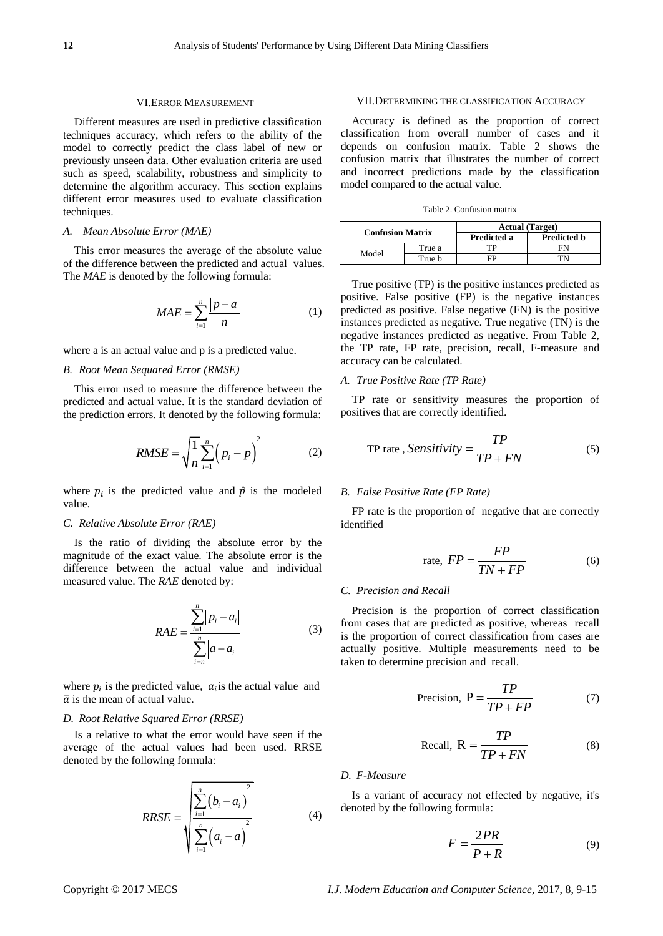## VI.ERROR MEASUREMENT

Different measures are used in predictive classification techniques accuracy, which refers to the ability of the model to correctly predict the class label of new or previously unseen data. Other evaluation criteria are used such as speed, scalability, robustness and simplicity to determine the algorithm accuracy. This section explains different error measures used to evaluate classification techniques.

## *A. Mean Absolute Error (MAE)*

This error measures the average of the absolute value of the difference between the predicted and actual values. The *MAE* is denoted by the following formula:

$$
MAE = \sum_{i=1}^{n} \frac{|p-a|}{n}
$$
 (1)

where a is an actual value and p is a predicted value.

## *B. Root Mean Sequared Error (RMSE)*

This error used to measure the difference between the predicted and actual value. It is the standard deviation of the prediction errors. It denoted by the following formula:

$$
RMSE = \sqrt{\frac{1}{n} \sum_{i=1}^{n} \left( p_i - p \right)^2}
$$
 (2)

where  $p_i$  is the predicted value and  $\hat{p}$  is the modeled value.

#### *C. Relative Absolute Error (RAE)*

Is the ratio of dividing the absolute error by the magnitude of the exact value. The absolute error is the difference between the actual value and individual measured value. The *RAE* denoted by:

$$
RAE = \frac{\sum_{i=1}^{n} |p_i - a_i|}{\sum_{i=n}^{n} |a - a_i|}
$$
 (3)

where  $p_i$  is the predicted value,  $a_i$  is the actual value and  $\bar{a}$  is the mean of actual value.

#### *D. Root Relative Squared Error (RRSE)*

Is a relative to what the error would have seen if the average of the actual values had been used. RRSE denoted by the following formula:

$$
RRSE = \sqrt{\sum_{i=1}^{n} (b_i - a_i)^2 \sum_{i=1}^{n} (a_i - a_i)^2}
$$
 (4)

#### VII.DETERMINING THE CLASSIFICATION ACCURACY

Accuracy is defined as the proportion of correct classification from overall number of cases and it depends on confusion matrix. Table 2 shows the confusion matrix that illustrates the number of correct and incorrect predictions made by the classification model compared to the actual value.

| <b>Confusion Matrix</b> |        | <b>Actual</b> (Target) |                    |  |  |
|-------------------------|--------|------------------------|--------------------|--|--|
|                         |        | Predicted a            | Predicted <b>b</b> |  |  |
| Model                   | True a | тp                     |                    |  |  |
|                         | True b | FP                     |                    |  |  |

True positive (TP) is the positive instances predicted as positive. False positive (FP) is the negative instances predicted as positive. False negative (FN) is the positive instances predicted as negative. True negative (TN) is the negative instances predicted as negative. From Table 2, the TP rate, FP rate, precision, recall, F-measure and accuracy can be calculated.

## *A. True Positive Rate (TP Rate)*

TP rate or sensitivity measures the proportion of positives that are correctly identified.

TP rate, *Sensitivity* = 
$$
\frac{TP}{TP + FN}
$$
 (5)

#### *B. False Positive Rate (FP Rate)*

FP rate is the proportion of negative that are correctly identified

$$
rate, FP = \frac{FP}{TN + FP}
$$
 (6)

## *C. Precision and Recall*

Precision is the proportion of correct classification from cases that are predicted as positive, whereas recall is the proportion of correct classification from cases are actually positive. Multiple measurements need to be taken to determine precision and recall.

$$
Precision, P = \frac{TP}{TP + FP}
$$
 (7)

$$
Recall, R = \frac{TP}{TP + FN}
$$
 (8)

# *D. F-Measure*

Is a variant of accuracy not effected by negative, it's denoted by the following formula:

$$
F = \frac{2PR}{P + R} \tag{9}
$$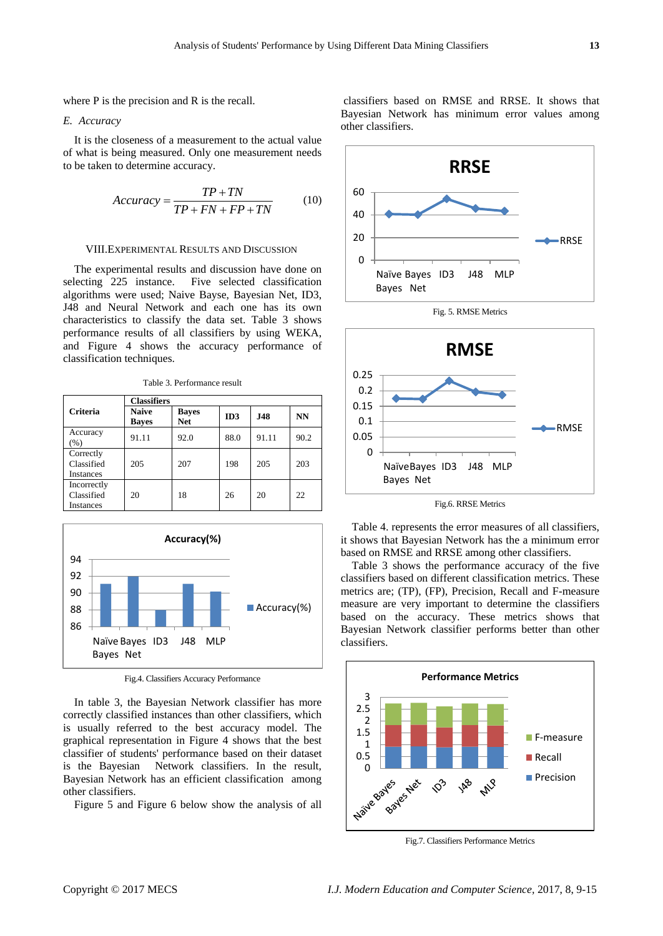where P is the precision and R is the recall.

#### *E. Accuracy*

It is the closeness of a measurement to the actual value of what is being measured. Only one measurement needs to be taken to determine accuracy.

$$
Accuracy = \frac{TP + TN}{TP + FN + FP + TN}
$$
 (10)

#### VIII.EXPERIMENTAL RESULTS AND DISCUSSION

The experimental results and discussion have done on selecting 225 instance. Five selected classification algorithms were used; Naive Bayse, Bayesian Net, ID3, J48 and Neural Network and each one has its own characteristics to classify the data set. Table 3 shows performance results of all classifiers by using WEKA, and Figure 4 shows the accuracy performance of classification techniques.

Table 3. Performance result

|                                        | <b>Classifiers</b>           |                            |      |            |           |  |
|----------------------------------------|------------------------------|----------------------------|------|------------|-----------|--|
| <b>Criteria</b>                        | <b>Naive</b><br><b>Bayes</b> | <b>Bayes</b><br><b>Net</b> | ID3  | <b>J48</b> | <b>NN</b> |  |
| Accuracy<br>$(\%)$                     | 91.11                        | 92.0                       | 88.0 | 91.11      | 90.2      |  |
| Correctly<br>Classified<br>Instances   | 205                          | 207                        | 198  | 205        | 203       |  |
| Incorrectly<br>Classified<br>Instances | 20                           | 18                         | 26   | 20         | 22        |  |



Fig.4. Classifiers Accuracy Performance

In table 3, the Bayesian Network classifier has more correctly classified instances than other classifiers, which is usually referred to the best accuracy model. The graphical representation in Figure 4 shows that the best classifier of students' performance based on their dataset is the Bayesian Network classifiers. In the result, Bayesian Network has an efficient classification among other classifiers.

Figure 5 and Figure 6 below show the analysis of all

classifiers based on RMSE and RRSE. It shows that Bayesian Network has minimum error values among other classifiers.





Fig.6. RRSE Metrics

Table 4. represents the error measures of all classifiers, it shows that Bayesian Network has the a minimum error based on RMSE and RRSE among other classifiers.

Table 3 shows the performance accuracy of the five classifiers based on different classification metrics. These metrics are; (TP), (FP), Precision, Recall and F-measure measure are very important to determine the classifiers based on the accuracy. These metrics shows that Bayesian Network classifier performs better than other classifiers.



Fig.7. Classifiers Performance Metrics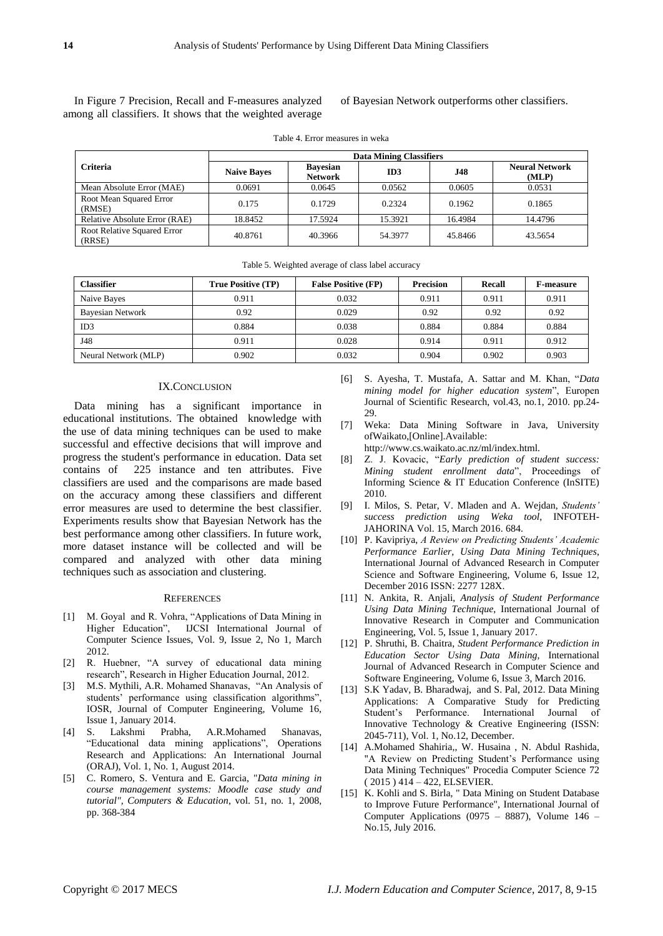In Figure 7 Precision, Recall and F-measures analyzed among all classifiers. It shows that the weighted average

of Bayesian Network outperforms other classifiers.

|                                       | <b>Data Mining Classifiers</b> |                                   |         |            |                                |  |
|---------------------------------------|--------------------------------|-----------------------------------|---------|------------|--------------------------------|--|
| <b>Criteria</b>                       | <b>Naive Bayes</b>             | <b>Bavesian</b><br><b>Network</b> | ID3     | <b>J48</b> | <b>Neural Network</b><br>(MLP) |  |
| Mean Absolute Error (MAE)             | 0.0691                         | 0.0645                            | 0.0562  | 0.0605     | 0.0531                         |  |
| Root Mean Squared Error<br>(RMSE)     | 0.175                          | 0.1729                            | 0.2324  | 0.1962     | 0.1865                         |  |
| Relative Absolute Error (RAE)         | 18.8452                        | 17.5924                           | 15.3921 | 16.4984    | 14.4796                        |  |
| Root Relative Squared Error<br>(RRSE) | 40.8761                        | 40.3966                           | 54.3977 | 45.8466    | 43.5654                        |  |

Table 4. Error measures in weka

| Table 5. Weighted average of class label accuracy |  |  |
|---------------------------------------------------|--|--|
|                                                   |  |  |

| <b>Classifier</b>       | <b>True Positive (TP)</b> | <b>False Positive (FP)</b> | <b>Precision</b> | Recall | <b>F-measure</b> |
|-------------------------|---------------------------|----------------------------|------------------|--------|------------------|
| Naive Bayes             | 0.911                     | 0.032                      | 0.911            | 0.911  | 0.911            |
| <b>Bayesian Network</b> | 0.92                      | 0.029                      | 0.92             | 0.92   | 0.92             |
| ID3                     | 0.884                     | 0.038                      | 0.884            | 0.884  | 0.884            |
| J48                     | 0.911                     | 0.028                      | 0.914            | 0.911  | 0.912            |
| Neural Network (MLP)    | 0.902                     | 0.032                      | 0.904            | 0.902  | 0.903            |

#### IX.CONCLUSION

Data mining has a significant importance in educational institutions. The obtained knowledge with the use of data mining techniques can be used to make successful and effective decisions that will improve and progress the student's performance in education. Data set contains of 225 instance and ten attributes. Five classifiers are used and the comparisons are made based on the accuracy among these classifiers and different error measures are used to determine the best classifier. Experiments results show that Bayesian Network has the best performance among other classifiers. In future work, more dataset instance will be collected and will be compared and analyzed with other data mining techniques such as association and clustering.

#### **REFERENCES**

- [1] M. Goyal and R. Vohra, "Applications of Data Mining in Higher Education", IJCSI International Journal of Computer Science Issues, Vol. 9, Issue 2, No 1, March 2012.
- [2] R. Huebner, "A survey of educational data mining research", Research in Higher Education Journal, 2012.
- [3] M.S. Mythili, A.R. Mohamed Shanavas, "An Analysis of students' performance using classification algorithms", IOSR, Journal of Computer Engineering, Volume 16, Issue 1, January 2014.
- [4] S. Lakshmi Prabha, A.R.Mohamed Shanavas, "Educational data mining applications", Operations Research and Applications: An International Journal (ORAJ), Vol. 1, No. 1, August 2014.
- [5] C. Romero, S. Ventura and E. Garcia, "*Data mining in course management systems: Moodle case study and tutorial", Computers & Education*, vol. 51, no. 1, 2008, pp. 368-384
- [6] S. Ayesha, T. Mustafa, A. Sattar and M. Khan, "*Data mining model for higher education system*", Europen Journal of Scientific Research, vol.43, no.1, 2010. pp.24- 29.
- [7] Weka: Data Mining Software in Java, University ofWaikato,[Online].Available:
- http://www.cs.waikato.ac.nz/ml/index.html.
- [8] Z. J. Kovacic, "*Early prediction of student success: Mining student enrollment data*", Proceedings of Informing Science & IT Education Conference (InSITE) 2010.
- [9] I. Milos, S. Petar, V. Mladen and A. Wejdan, *Students' success prediction using Weka tool*, INFOTEH-JAHORINA Vol. 15, March 2016. 684.
- [10] P. Kavipriya, *A Review on Predicting Students' Academic Performance Earlier, Using Data Mining Techniques*, International Journal of Advanced Research in Computer Science and Software Engineering, Volume 6, Issue 12, December 2016 ISSN: 2277 128X.
- [11] N. Ankita, R. Anjali, *Analysis of Student Performance Using Data Mining Technique*, International Journal of Innovative Research in Computer and Communication Engineering, Vol. 5, Issue 1, January 2017.
- [12] P. Shruthi, B. Chaitra, *Student Performance Prediction in Education Sector Using Data Mining,* International Journal of Advanced Research in Computer Science and Software Engineering, Volume 6, Issue 3, March 2016.
- [13] S.K Yadav, B. Bharadwaj, and S. Pal, 2012. Data Mining Applications: A Comparative Study for Predicting Student's Performance. International Journal of Innovative Technology & Creative Engineering (ISSN: 2045-711), Vol. 1, No.12, December.
- [14] A.Mohamed Shahiria,, W. Husaina , N. Abdul Rashida, "A Review on Predicting Student's Performance using Data Mining Techniques" Procedia Computer Science 72 ( 2015 ) 414 – 422, ELSEVIER.
- [15] K. Kohli and S. Birla, " Data Mining on Student Database to Improve Future Performance", International Journal of Computer Applications (0975 – 8887), Volume 146 – No.15, July 2016.